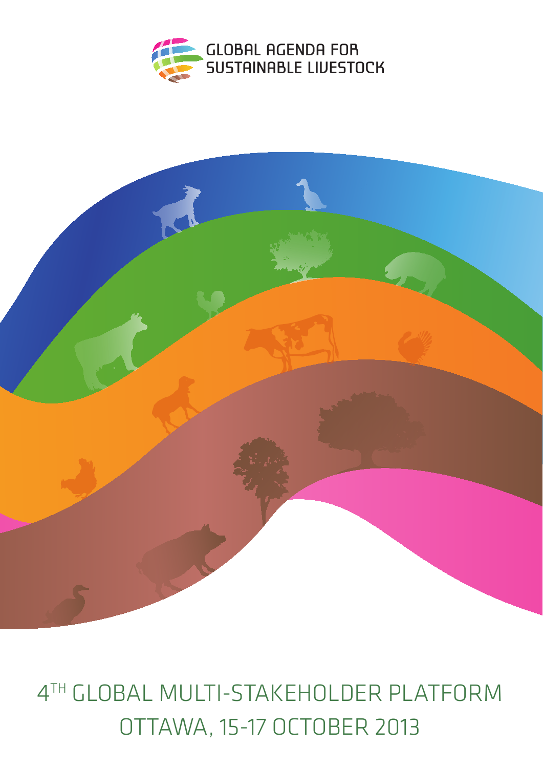



# 4th Global multi-stakeholder platform OTTAWA, 15-17 OCTOBER 2013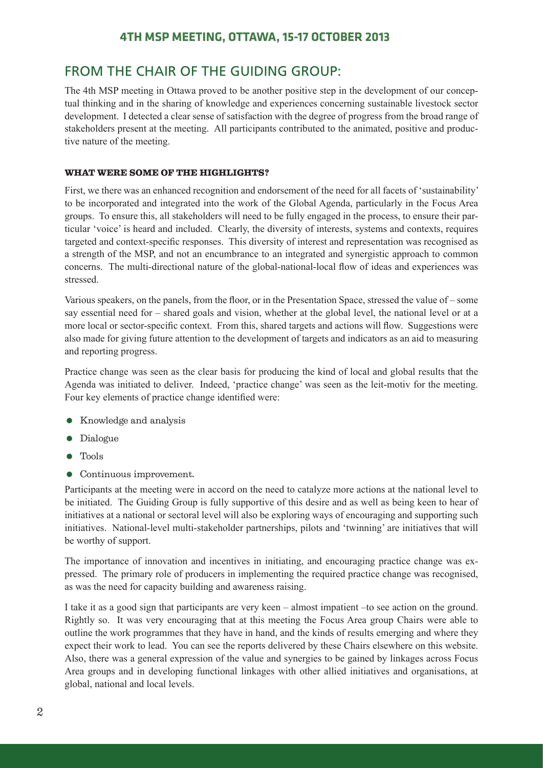#### **4th MSP Meeting, Ottawa, 15-17 October 2013**

### From the Chair of the Guiding Group:

The 4th MSP meeting in Ottawa proved to be another positive step in the development of our conceptual thinking and in the sharing of knowledge and experiences concerning sustainable livestock sector development. I detected a clear sense of satisfaction with the degree of progress from the broad range of stakeholders present at the meeting. All participants contributed to the animated, positive and productive nature of the meeting.

#### WHAT WERE SOME OF THE HIGHLIGHTS?

First, we there was an enhanced recognition and endorsement of the need for all facets of 'sustainability' to be incorporated and integrated into the work of the Global Agenda, particularly in the Focus Area groups. To ensure this, all stakeholders will need to be fully engaged in the process, to ensure their particular 'voice' is heard and included. Clearly, the diversity of interests, systems and contexts, requires targeted and context-specific responses. This diversity of interest and representation was recognised as a strength of the MSP, and not an encumbrance to an integrated and synergistic approach to common concerns. The multi-directional nature of the global-national-local flow of ideas and experiences was stressed.

Various speakers, on the panels, from the floor, or in the Presentation Space, stressed the value of – some say essential need for – shared goals and vision, whether at the global level, the national level or at a more local or sector-specific context. From this, shared targets and actions will flow. Suggestions were also made for giving future attention to the development of targets and indicators as an aid to measuring and reporting progress.

Practice change was seen as the clear basis for producing the kind of local and global results that the Agenda was initiated to deliver. Indeed, 'practice change' was seen as the leit-motiv for the meeting. Four key elements of practice change identified were:

- Knowledge and analysis
- Dialogue
- Tools
- Continuous improvement.

Participants at the meeting were in accord on the need to catalyze more actions at the national level to be initiated. The Guiding Group is fully supportive of this desire and as well as being keen to hear of initiatives at a national or sectoral level will also be exploring ways of encouraging and supporting such initiatives. National-level multi-stakeholder partnerships, pilots and 'twinning' are initiatives that will be worthy of support.

The importance of innovation and incentives in initiating, and encouraging practice change was expressed. The primary role of producers in implementing the required practice change was recognised, as was the need for capacity building and awareness raising.

I take it as a good sign that participants are very keen – almost impatient –to see action on the ground. Rightly so. It was very encouraging that at this meeting the Focus Area group Chairs were able to outline the work programmes that they have in hand, and the kinds of results emerging and where they expect their work to lead. You can see the reports delivered by these Chairs elsewhere on this website. Also, there was a general expression of the value and synergies to be gained by linkages across Focus Area groups and in developing functional linkages with other allied initiatives and organisations, at global, national and local levels.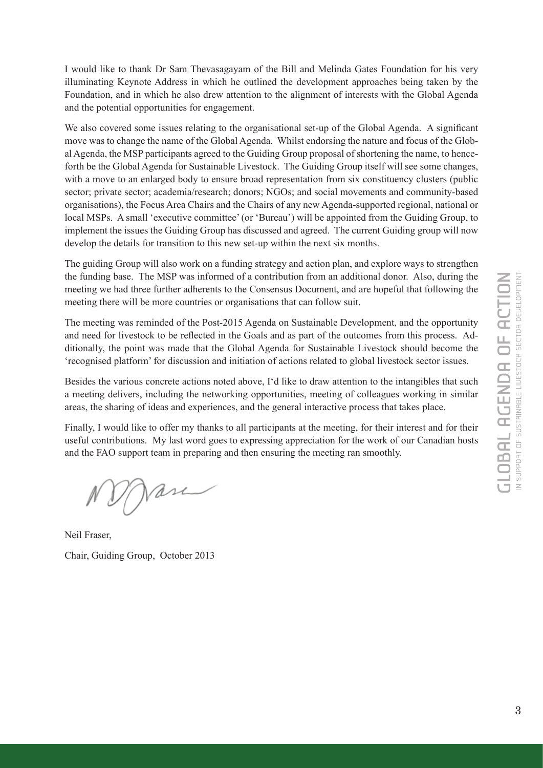I would like to thank Dr Sam Thevasagayam of the Bill and Melinda Gates Foundation for his very illuminating Keynote Address in which he outlined the development approaches being taken by the Foundation, and in which he also drew attention to the alignment of interests with the Global Agenda and the potential opportunities for engagement.

We also covered some issues relating to the organisational set-up of the Global Agenda. A significant move was to change the name of the Global Agenda. Whilst endorsing the nature and focus of the Global Agenda, the MSP participants agreed to the Guiding Group proposal of shortening the name, to henceforth be the Global Agenda for Sustainable Livestock. The Guiding Group itself will see some changes, with a move to an enlarged body to ensure broad representation from six constituency clusters (public sector; private sector; academia/research; donors; NGOs; and social movements and community-based organisations), the Focus Area Chairs and the Chairs of any new Agenda-supported regional, national or local MSPs. A small 'executive committee' (or 'Bureau') will be appointed from the Guiding Group, to implement the issues the Guiding Group has discussed and agreed. The current Guiding group will now develop the details for transition to this new set-up within the next six months.

The guiding Group will also work on a funding strategy and action plan, and explore ways to strengthen the funding base. The MSP was informed of a contribution from an additional donor. Also, during the meeting we had three further adherents to the Consensus Document, and are hopeful that following the meeting there will be more countries or organisations that can follow suit.

The meeting was reminded of the Post-2015 Agenda on Sustainable Development, and the opportunity and need for livestock to be reflected in the Goals and as part of the outcomes from this process. Additionally, the point was made that the Global Agenda for Sustainable Livestock should become the 'recognised platform' for discussion and initiation of actions related to global livestock sector issues.

Besides the various concrete actions noted above, I'd like to draw attention to the intangibles that such a meeting delivers, including the networking opportunities, meeting of colleagues working in similar areas, the sharing of ideas and experiences, and the general interactive process that takes place.

Finally, I would like to offer my thanks to all participants at the meeting, for their interest and for their useful contributions. My last word goes to expressing appreciation for the work of our Canadian hosts and the FAO support team in preparing and then ensuring the meeting ran smoothly.

Jase

Neil Fraser,

Chair, Guiding Group, October 2013